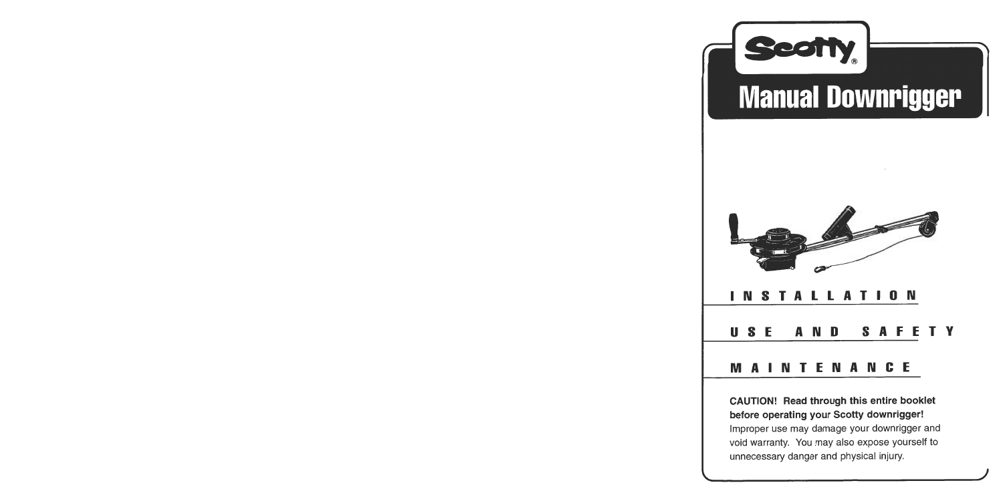

**CAUTION! Read through this entire booklet before operating your Scotty downrigger!**  Improper use may damage your downrigger and void warranty. You may also expose yourself to unnecessary danger and physical injury.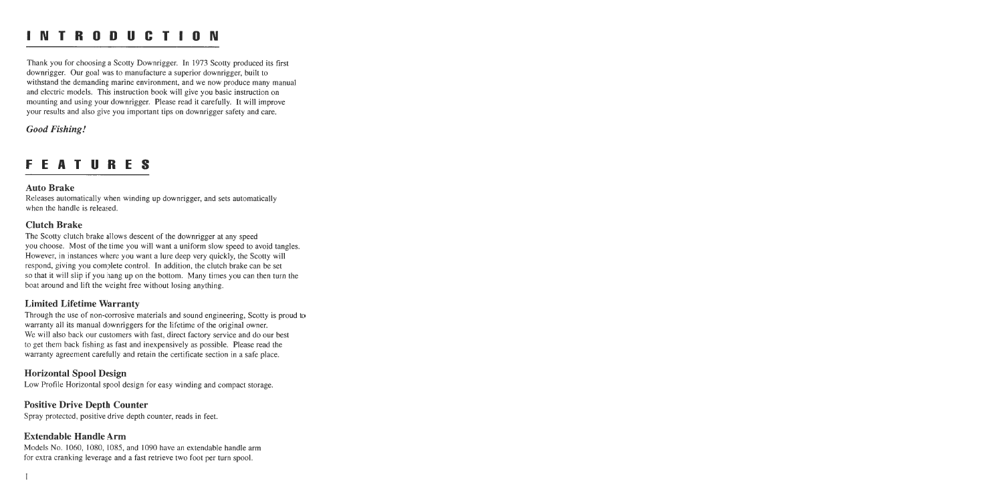### **INTRODUCTION**

Thank you for choosing a Scotty Downrigger. In 1973 Scotty produced its first downrigger. Our goal was to manufacture a superior downrigger, built to withstand the demanding marine environment, and we now produce many manual and electric models. This instruction book will give you basic instruction on mounting and using your downrigger. Please read it carefully. It will improve your results and also give you important tips on downrigger safety and care.

### *Good Fishing!*

### **FEATURES**

### **Auto Brake**

Releases automatically when winding up downrigger, and sets automatically when the handle is released.

### **Clutch Brake**

The Scotty clutch brake allows descent of the downrigger at any speed you choose. Most of the time you will want a uniform slow speed to avoid tangles. However, in instances where you want a lure deep very quickly, the Scotty will respond, giving you complete control. In addition, the clutch brake can be set so that it will slip if you hang up on the bottom. Many times you can then turn the boat around and lift the weight free without losing anything.

### **Limited Lifetime Warranty**

Through the use of non-corrosive materials and sound engineering, Scotty is proud to warranty all its manual downriggers for the lifetime of the original owner. We will also back our customers with fast, direct factory service and do our best to get them back fishing as fast and inexpensively as possible. Please read the warranty agreement carefully and retain the certificate section in a safe place.

### **Horizontal Spool Design**

Low Profile Horizontal spool design for easy winding and compact storage.

### **Positive Drive Depth Counter**

Spray protected, positive drive depth counter, reads in feet.

### **Extendable Handle Arm**

Models **No.** 1060, 1080, 1085, and 1090 have an extendable handle arm for extra cranking leverage and a fast retrieve two foot per turn spool.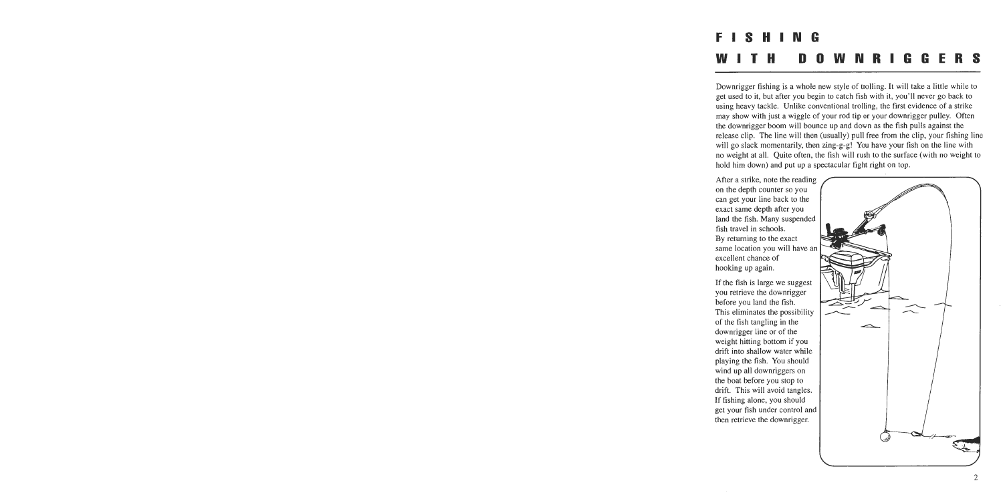# **FISHING WITH DOWNRIGGERS**

Downrigger fishing is a whole new style of trolling. It will take a little while to get used to it, but after you begin to catch fish with it, you'll never go back to using heavy tackle. Unlike conventional trolling, the first evidence of a strike may show with just a wiggle of your rod tip or your downrigger pulley. Often the downrigger boom will bounce up and down as the fish pulls against the release clip. The line will then (usually) pull free from the clip, your fishing line will go slack momentarily, then zing-g-g! You have your fish on the line with no weight at all. Quite often, the fish will rush to the surface (with no weight to hold him down) and put up a spectacular fight right on top.

After a strike, note the reading on the depth counter so you can get your line back to the exact same depth after you land the fish. Many suspended fish travel in schools. By returning to the exact same location you will have an excellent chance of hooking up again.

If the fish is large we suggest you retrieve the downrigger before you land the fish. This eliminates the possibility of the fish tangling in the downrigger line or of the weight hitting bottom if you drift into shallow water while playing the fish. You should wind up all downriggers on the boat before you stop to drift. This will avoid tangles. If fishing alone, you should get your fish under control and then retrieve the downrigger.

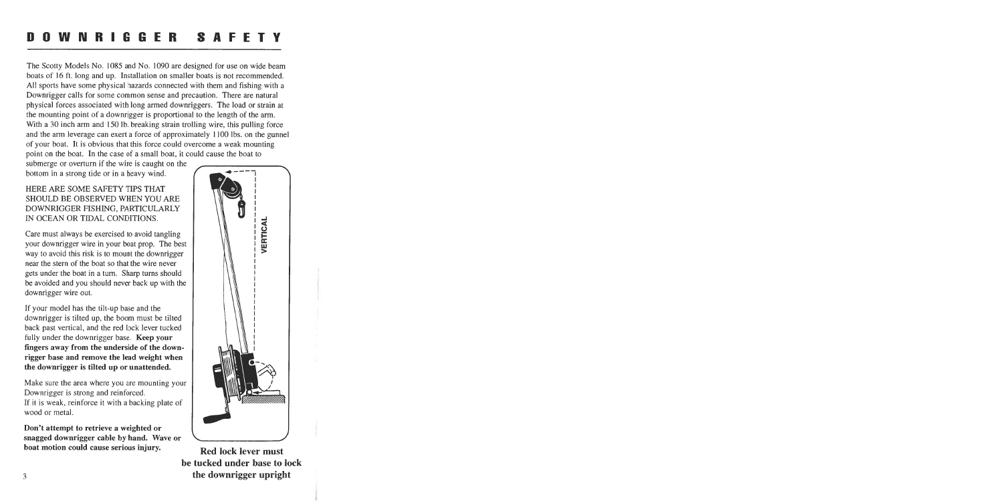#### O W N R I G G E R **SAFE** n.

The Scotty Models No. 1085 and No. 1090 are designed for use on wide beam boats of 16 ft. long and up. Installation on smaller boats is not recommended. All sports have some physical hazards connected with them and fishing with a Downrigger calls for some common sense and precaution. There are natural physical forces associated with long armed downriggers. The load or strain at the mounting point of a downrigger is proportional to the length of the arm. With a 30 inch arm and 150 lb. breaking strain trolling wire, this pulling force and the arm leverage can exert a force of approximately 1 100 lbs. on the gunnel of your boat. It is obvious that this force could overcome a weak mounting point on the boat. In the case of a small boat, it could cause the boat to

submerge or overturn if the wire is caught on the bottom in a strong tide or in a heavy wind.

HERE ARE SOME SAFETY TIPS THAT SHOULD BE OBSERVED WHEN YOU ARE DOWNRIGGER FISHING, PARTICULARLY IN OCEAN OR TIDAL CONDITIONS.

Care must always be exercised to avoid tangling your downrigger wire in your boat prop. The best way to avoid this risk is to mount the downrigger near the stern of the boat so that the wire never gets under the boat in a turn. Sharp turns should be avoided and you should never back up with the downrigger wire out.

If your model has the tilt-up base and the downrigger is tilted up, the boom must be tilted back past vertical, and the red lock lever tucked fully under the downrigger base. **Keep your fingers away from the underside of the downrigger base and remove the lead weight when the downrigger is tilted up or unattended.** 

Make sure the area where you are mounting your Downrigger is strong and reinforced. If it is weak, reinforce it with a backing plate of wood or metal.

**Don't attempt to retrieve a weighted or snagged downrigger cable by hand. Wave or boat motion could cause serious injury.** Red lock lever must



**be tucked under base to lock the downrigger upright**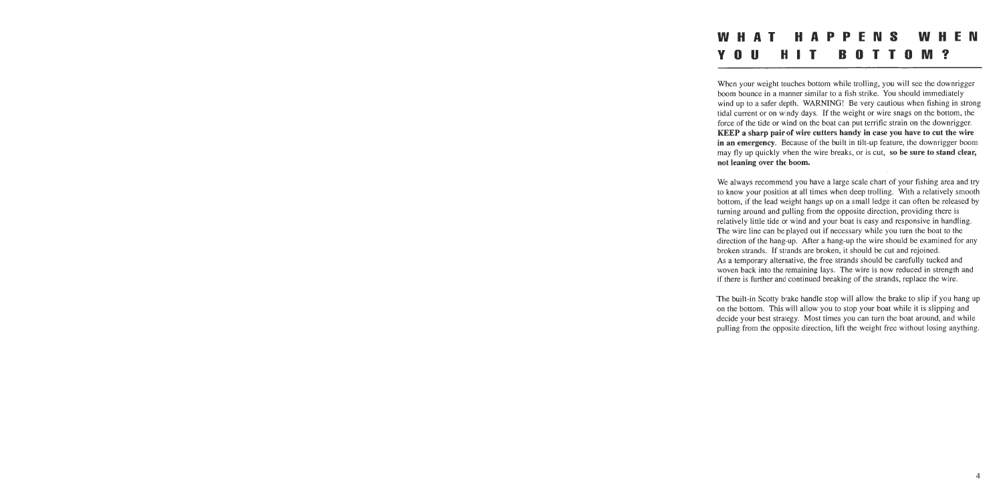# **WHAT HAPPENS WHEN YOU HIT BOTTOM?**

When your weight touches bottom while trolling, you will see the downrigger boom bounce in a manner similar to a fish strike. You should immediately wind up to a safer depth. WARNING! Be very cautious when fishing in strong tidal current or on windy days. If the weight or wire snags on the bottom, the force of the tide or wind on the boat can put terrific strain on the downrigger. KEEP **a sharp pair of wire cutters handy in case you have to cut the wire in an emergency.** Because of the built in tilt-up feature, the downrigger boom may fly up quickly when the wire breaks, or is cut, **so be sure to stand clear, not leaning over the boom.** 

We always recommend you have a large scale chart of your fishing area and try to know your position at all times when deep trolling. With a relatively smooth bottom, if the lead weight hangs up on a small ledge it can often be released by turning around and pulling from the opposite direction, providing there is relatively little tide or wind and your boat is easy and responsive in handling. The wire line can be played out if necessary while you turn the boat to the direction of the hang-up. After a hang-up the wire should be examined for any broken strands. If strands are broken, it should be cut and rejoined. As a temporary alternative, the free strands should be carefully tucked and woven back into the remaining lays. The wire is now reduced in strength and if there is further and continued breaking of the strands, replace the wire.

The built-in Scotty brake handle stop will allow the brake to slip if you hang up on the bottom. This will allow you to stop your boat while it is slipping and decide your best strategy. Most times you can turn the boat around, and while pulling from the opposite direction, lift the weight free without losing anything.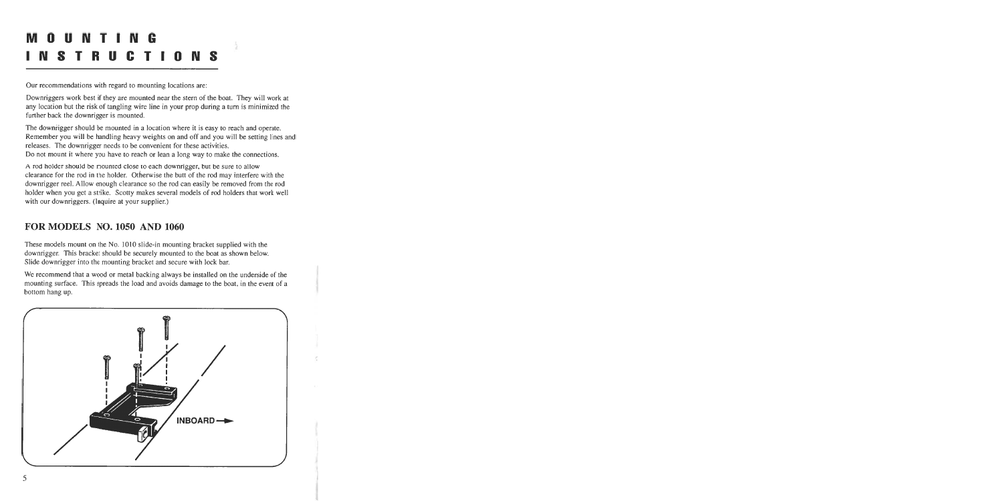# **MOUNTING INSTRUCTIONS**

Our recommendations with regard to mounting locations are:

Downriggers work best if they are mounted near the stern of the boat. They will work at any location but the risk of tangling wire line in your prop during a turn is minimized the further back the downrigger is mounted.

ă.

The downrigger should be mounted in a location where it is easy to reach and operate. Remember you will be handling heavy weights on and off and you will be setting lines and releases. The downrigger needs to be convenient for these activities. Do not mount it where you have to reach or lean a long way to make the connections.

A rod holder should be mounted close to each downrigger, but be sure to allow clearance for the rod in the holder. Otherwise the butt of the rod may interfere with the downrigger reel. Allow enough clearance so the rod can easily be removed from the rod holder when you get a strike. Scotty makes several models of rod holders that work well with our downriggers. (Inquire at your supplier.)

### **FOR MODELS NO. 1050 AND 1060**

These models mount on the No. 1010 slide-in mounting bracket supplied with the downrigger. This bracket should be securely mounted to the boat as shown below. Slide downrigger into the mounting bracket and secure with lock bar.

We recommend that a wood or metal backing always be installed on the underside of the mounting surface. This spreads the load and avoids damage to the boat, in the event of a bottom hang up.

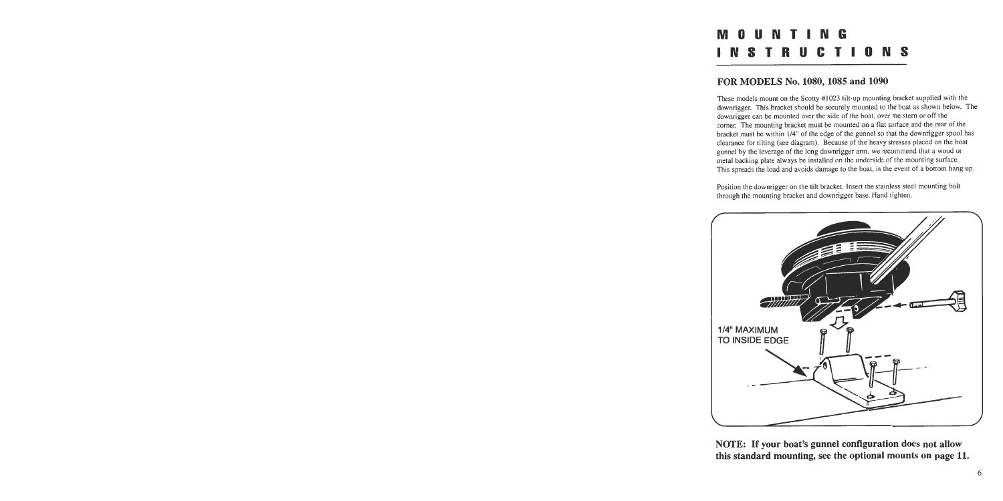### A m n ll n t -N **INSTRUCTIONS**

### **FOR MODELS No. 1080,1085 and 1090**

These models mount on the Scotty #I023 tilt-up mounting bracket supplied with the downrigger. This bracket should be securely mounted to the boat as shown below. The downrigger can be mounted over the side of the boat, over the stem or off the comer. The mounting bracket must be mounted on a flat surface and the rear of the bracket must be within 1/4" of the edge of the gunnel so that the downrigger spool has clearance for tilting (see diagram). Because of the heavy stresses placed on the boat gunnel by the leverage of the long downrigger arm, we recommend that a wood or metal backing plate always be installed on the underside of the mounting surface. This spreads the load and avoids damage to the boat, in the event of a bottom hang up.

Position the downrigger on the tilt bracket. Insert the stainless steel mounting bolt through the mounting bracket and downrigger base. Hand tighten.



**NOTE: If your boat's gunnel configuration does not allow this standard mounting, see the optional mounts on page 11.**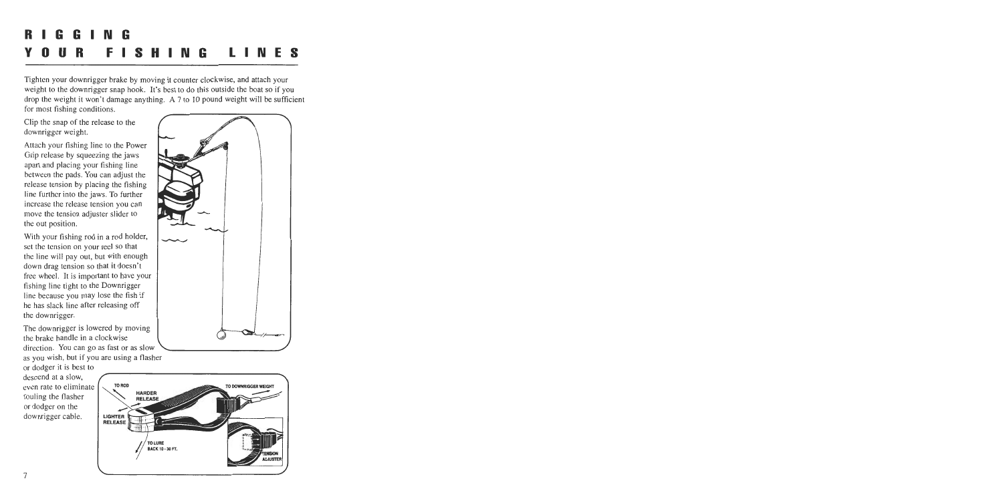# **RIGGING YOUR FISHING LINES**

Tighten your downrigger brake by moving it counter clockwise, and attach your weight to the downrigger snap hook. It's best to do this outside the boat so if you drop the weight it won't damage anything. A 7 to 10 pound weight will be sufficient for most fishing conditions.

Clip the snap of the release to the downrigger weight.

Attach your fishing line to the Power Grip release by squeezing the jaws apart and placing your fishing line between the pads. You can adjust the release tension by placing the fishing line furthcr into the jaws. To further increase the release tension you can move the tension adjuster slider to the out position.

With your fishing rod in a rod holder, set the tension on your reel so that the line will pay out, but with enough down drag tension so that it doesn't free wheel. It is important to have your fishing line tight to the Downrigger line because you may lose the fish if he has slack line after releasing off the downrigger.

The downrigger is lowered by moving the brake handle in a clockwise \ direction. You can go as fast or as slow \-/ as you wish, but if you are using a flasher

or dodger it is best to descend at a slow, even rate to eliminate fouling the flasher or dodger on the downrigger cable.



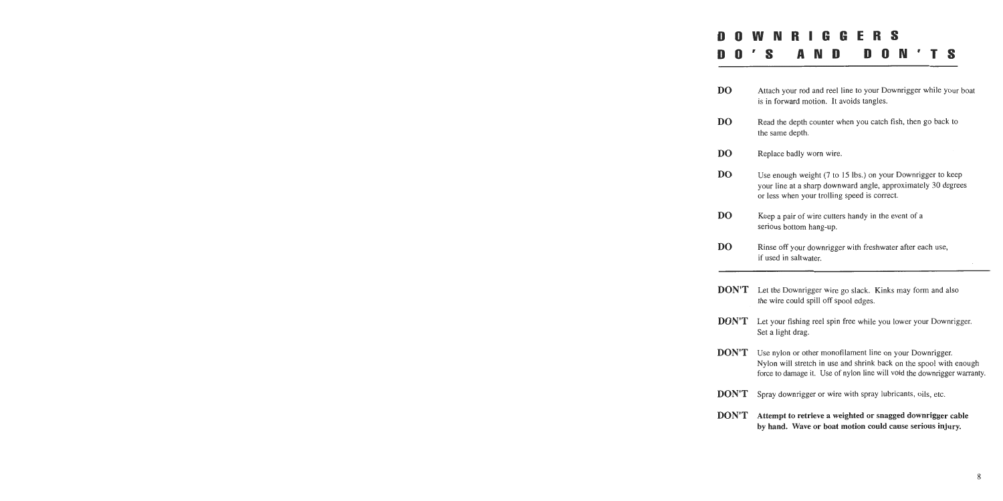# **DOWNRIGGERS DO'S AND DON'TS**

| <b>DO</b> | Attach your rod and reel line to your Downrigger while your boat<br>is in forward motion. It avoids tangles.                                                                 |
|-----------|------------------------------------------------------------------------------------------------------------------------------------------------------------------------------|
| DO        | Read the depth counter when you catch fish, then go back to<br>the same depth.                                                                                               |
| DO        | Replace badly worn wire.                                                                                                                                                     |
| DO        | Use enough weight (7 to 15 lbs.) on your Downrigger to keep<br>your line at a sharp downward angle, approximately 30 degrees<br>or less when your trolling speed is correct. |
| DO        | Keep a pair of wire cutters handy in the event of a<br>serious bottom hang-up.                                                                                               |
| DO        | Rinse off your downrigger with freshwater after each use,<br>if used in saltwater.                                                                                           |
|           |                                                                                                                                                                              |

- **DON'T** Let the Downrigger wire go slack. Kinks may form and also the wire could spill off spool edges.
- **DON'T** Let your fishing reel spin free while you lower your Downrigger. Set a light drag.
- **DON'T** Use nylon or other monofilament line on your Downrigger. Nylon will stretch in use and shrink back on the spool with enough force to damage it. Use of nylon line will void the downrigger warranty.
- **DON'T** Spray downrigger or wire with spray lubricants, oils, etc.
- **DON'T** Attempt to retrieve a weighted or snagged downrigger cable by hand. Wave or boat motion could cause serious injury.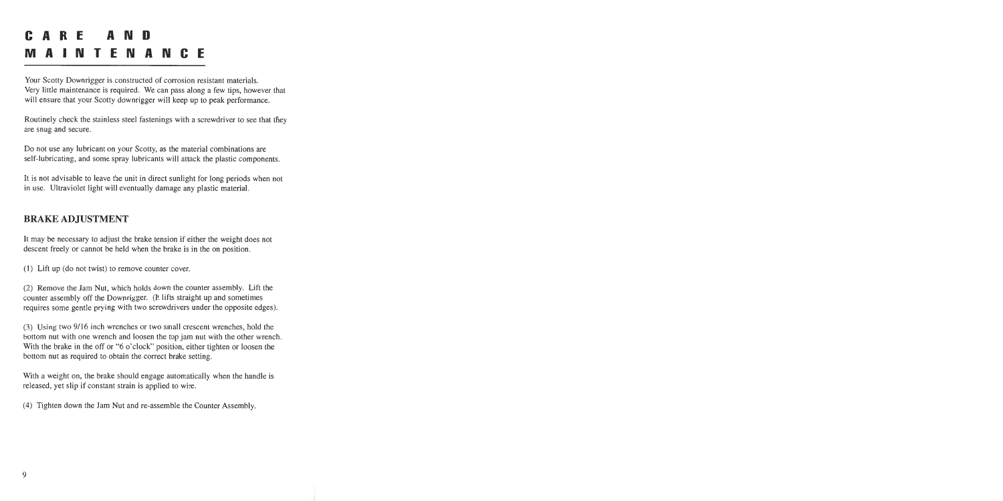# **CARE AND MAINTENANCE**

Your Scotty Downrigger is constructed of corrosion resistant materials. Very little maintenance is required. We can pass along a few tips, however that will ensure that your Scotty downrigger will keep up to peak performance.

Routinely check the stainless steel fastenings with a screwdriver to see that they are snug and secure.

Do not use any lubricant on your Scotty, as the material combinations are self-lubricating, and some spray lubricants will attack the plastic components.

It is not advisable to leave the unit in direct sunlight for long periods when not in use. Ultraviolet light will eventually damage any plastic material.

### **BRAKE ADJUSTMENT**

It may be necessary to adjust the brake tension if either the weight does not descent freely or cannot be held when the brake is in the on position.

**(1)** Lift up (do not twist) to remove counter cover.

(2) Remove the Jam Nut, which holds down the counter assembly. Lift the counter assembly off the Downrigger. (It lifts straight up and sometimes requires some gentle prying with two screwdrivers under the opposite edges).

**(3)** Using two 9/16 inch wrenches or two small crescent wrenches, hold the bottom nut with one wrench and loosen the top jam nut with the other wrench. With the brake in the off or "6 o'clock" position, either tighten or loosen the bottom nut as required to obtain the correct brake setting.

With a weight on, the brake should engage automatically when the handle is released, yet slip if constant strain is applied to wire.

(4) Tighten down the Jam Nut and re-assemble the Counter Assembly.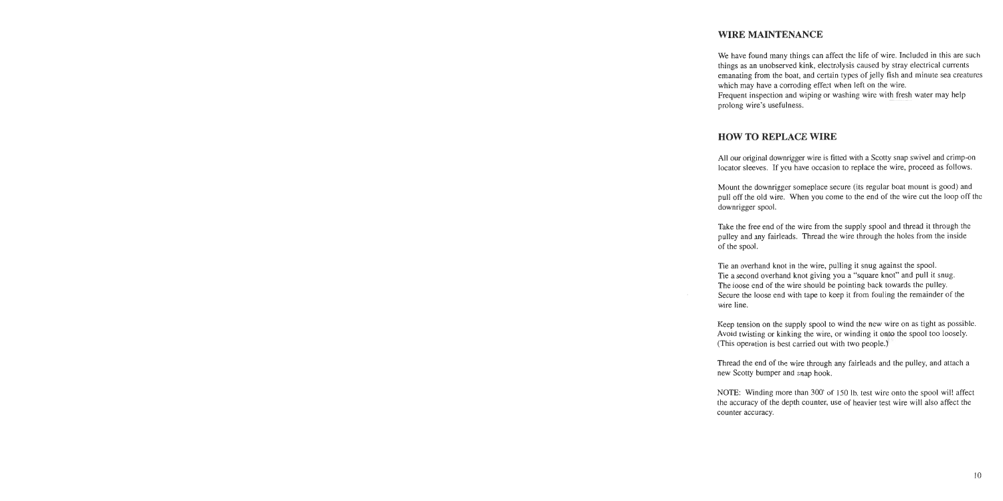### **WIRE MAINTENANCE**

We have found many things can affect the life of wire. Included in this are such things as an unobserved kink, electrolysis caused by stray electrical currents emanating from the boat, and certain types of jelly fish and minute sea creatures which may have a corroding effect when left on the wire.

Frequent inspection and wiping or washing wire with fresh water may help prolong wire's usefulness.

### **HOW TO REPLACE WIRE**

All our original downrigger wire is fitted with a Scotty snap swivel and crimp-on locator sleeves. If you have occasion to replace the wire, proceed as follows.

Mount the downrigger someplace secure (its regular boat mount is good) and pull off the old wire. When you come to the end of the wire cut the loop off thc downrigger spool.

Take the free end of the wire from the supply spool and thread it through the pulley and any fairleads. Thread the wire through the holes from the inside of the spool.

Tie an overhand knot in the wire, pulling it snug against the spool. Tie a second overhand knot giving you a "square knot" and pull it snug. The loose end of the wire should be pointing back towards the pulley. Secure the loose end with tape to keep it from fouling the remainder of the wire line.

Keep tension on the supply spool to wind the new wire on as tight as possible. Avoid twisting or kinking the wire, or winding it onto the spool too loosely. (This operation is best carried out with two people.)

Thread the end of the wire through any fairleads and the pulley, and attach a new Scotty bumper and snap hook.

NOTE: Winding more than 300' of 150 Ib. test wire onto the spool wil! affect the accuracy of the depth counter, use of heavier test wire will also affect the counter accuracy.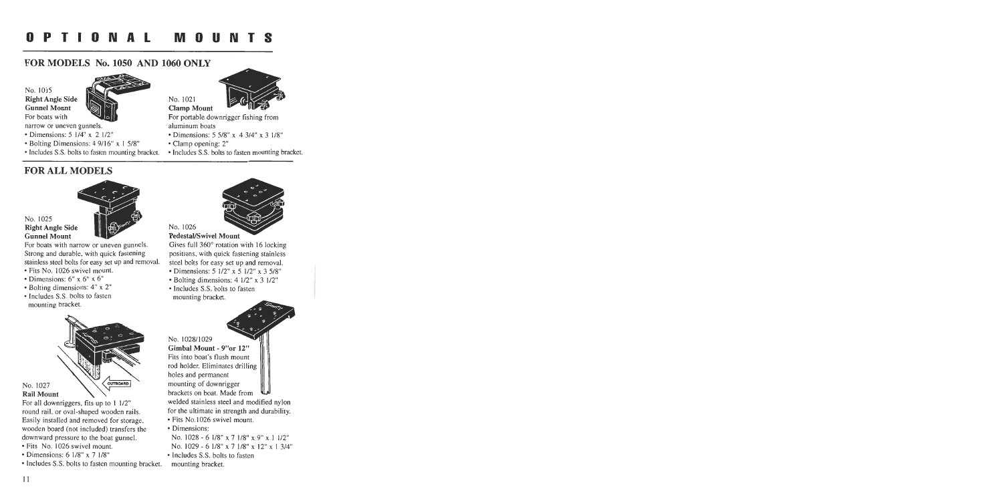### **FOR MODELS No. 1050 AND 1060 ONLY**

No. 1015 Right Angle Side  $\blacksquare$  No. 1021 **Gunnel Mount** For boats with



- 
- Bolting Dimensions: 4 9/16" x 1 5/8" Clamp opening: 2"
- 

### **FOR ALL MODELS**



#### No. 1025 **Right Angle Side Gunnel Mount**

For boats with narrow or uneven gunnels. Strong and durable, with quick fastening stainless steel bolts for easy set up and removal.

- Fits No. 1026 swivel mount.
- Dimensions: 6" **x** 6" **x** 6"
- Bolting dimensions: 4" **x** 2"
- Includes S.S. bolts to fasten mounting bracket.



### No. 1027

For all downriggers, fits up to 1 1/2" round rail. or oval-shaped wooden rails. Easily installed and removed for storage. wooden board (not included) transfers the downward pressure to the boat gunnel.

- Fits No. 1026 swivel mount.
- Dimensions: 6 118" **x** 7 118"
- lncludes S.S. bolts to fasten mounting bracket.

# $Clamp$  *Mount*



For portable downrigger fishing from narrow or uneven gunnels. The same aluminum boats

- Dimensions: 5 114" **x** 2 112" Dimensions: 5 518" **x** 4 314" **x** 3 118"
	-
- Includes S.S. bolts to fasten mounting bracket. Includes S.S. bolts to fasten mounting bracket.



#### No. 1026

**Pedestal/Swivel Mount** 

Gives full 360" rotation with 16 locking positions, with quick fastening stainless steel bolts for easy set up and removal.

- Dimensions: 5 112" **x** 5 112" **x** 3 518"
- Bolting dimensions: 4 112" **x** 3 112"
- Includes S.S. bolts to fasten mounting bracket.

No. 1028/1029

Gimbal Mount - 9"or **12"**  Fits into boat's flush mount rod holder. Eliminates drilling holes and permanent mounting of downrigger brackets on boat. Made from

welded stainless steel and modified nylon for the ultimate in strength and durability.

- Fits No.1026 swivel mount.
- Dimensions:
	- NO. 1028 6 118" **x** 7 118" **x** 9" **x** 1 112"
	- NO. 1029 6 118" **x** 7 118" **x** 12" **x** 1 314
- Includes S.S. bolts to fasten mounting bracket.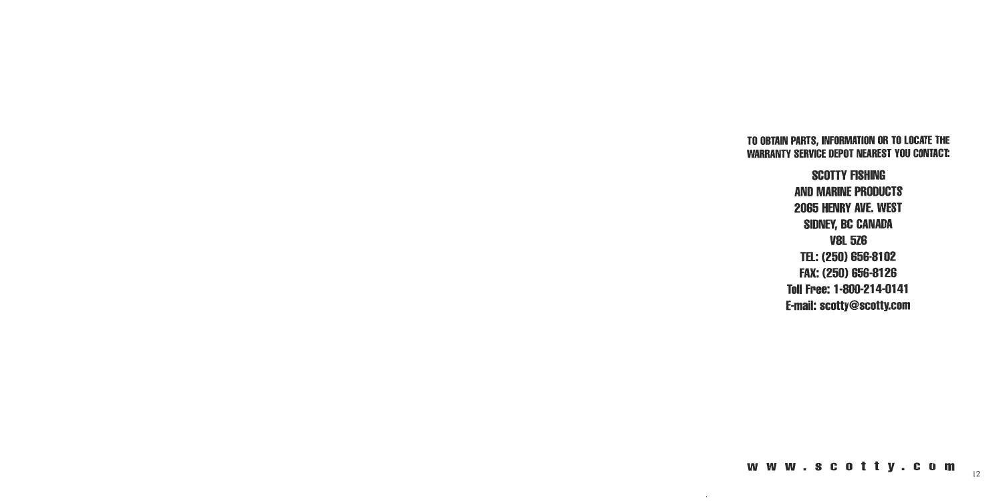### **TO OBTAIN PARTS, INFORMATION OR TO LOCATE THE WARRANTY SERVICE DEPOT NEAREST YOU CONTACE**

**SCOTTY FISHING AND MARINE PRODUCTS 2065 HENRY AVE. WEST SIDNEY, BC CANADA V8L 526 TEL: (250) 656-81 02 FAX: (250) 656-81 26 Toll Free: 1 -800-21 4-01 41 E-mail: scotty@scotty.com** 

www.scotty.com

.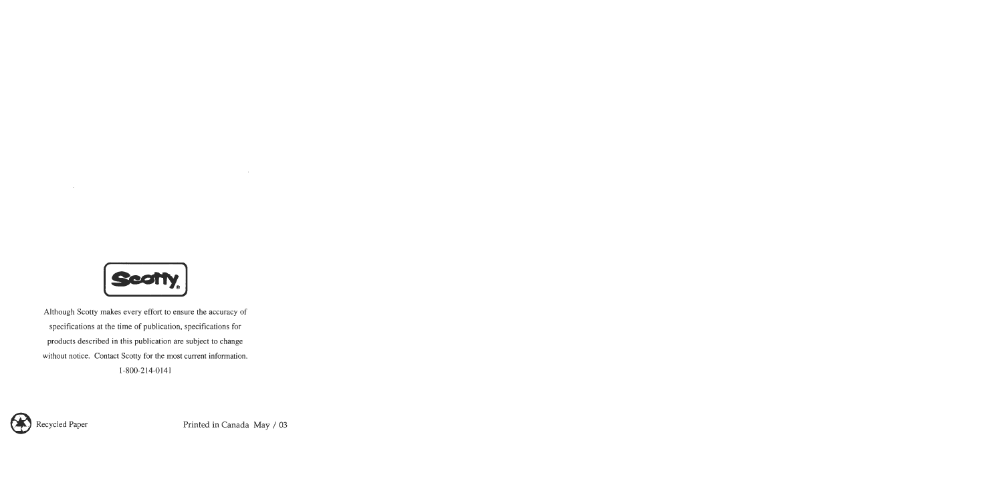

Although Scotty makes every effort to ensure the accuracy of specifications at the time of publication, specifications for products described in this publication are subject to change without notice. Contact Scotty for the most current information. 1-800-214-0141



Recycled Paper Printed in Canada May / 03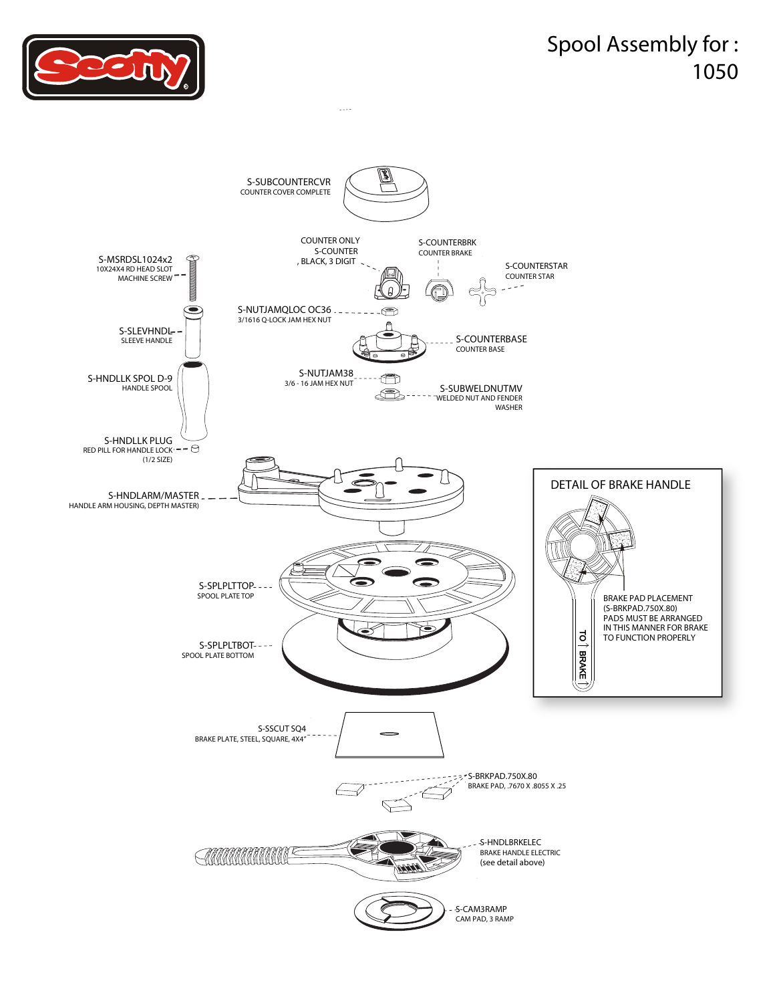



 $\frac{1}{2}$